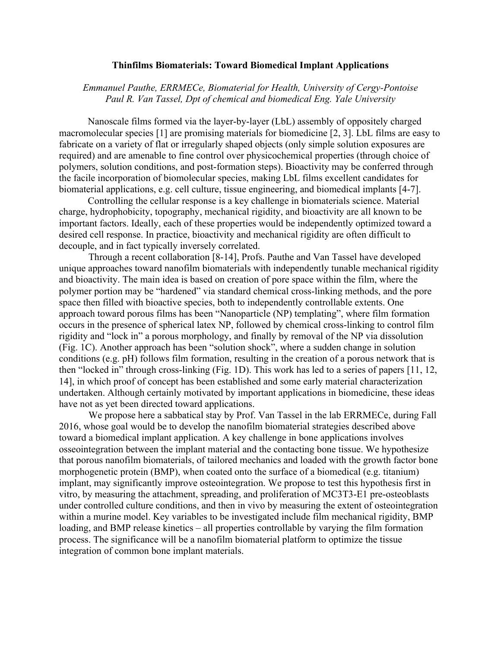## **Thinfilms Biomaterials: Toward Biomedical Implant Applications**

## *Emmanuel Pauthe, ERRMECe, Biomaterial for Health, University of Cergy-Pontoise Paul R. Van Tassel, Dpt of chemical and biomedical Eng. Yale University*

Nanoscale films formed via the layer-by-layer (LbL) assembly of oppositely charged macromolecular species [1] are promising materials for biomedicine [2, 3]. LbL films are easy to fabricate on a variety of flat or irregularly shaped objects (only simple solution exposures are required) and are amenable to fine control over physicochemical properties (through choice of polymers, solution conditions, and post-formation steps). Bioactivity may be conferred through the facile incorporation of biomolecular species, making LbL films excellent candidates for biomaterial applications, e.g. cell culture, tissue engineering, and biomedical implants [4-7].

Controlling the cellular response is a key challenge in biomaterials science. Material charge, hydrophobicity, topography, mechanical rigidity, and bioactivity are all known to be important factors. Ideally, each of these properties would be independently optimized toward a desired cell response. In practice, bioactivity and mechanical rigidity are often difficult to decouple, and in fact typically inversely correlated.

Through a recent collaboration [8-14], Profs. Pauthe and Van Tassel have developed unique approaches toward nanofilm biomaterials with independently tunable mechanical rigidity and bioactivity. The main idea is based on creation of pore space within the film, where the polymer portion may be "hardened" via standard chemical cross-linking methods, and the pore space then filled with bioactive species, both to independently controllable extents. One approach toward porous films has been "Nanoparticle (NP) templating", where film formation occurs in the presence of spherical latex NP, followed by chemical cross-linking to control film rigidity and "lock in" a porous morphology, and finally by removal of the NP via dissolution (Fig. 1C). Another approach has been "solution shock", where a sudden change in solution conditions (e.g. pH) follows film formation, resulting in the creation of a porous network that is then "locked in" through cross-linking (Fig. 1D). This work has led to a series of papers [11, 12, 14], in which proof of concept has been established and some early material characterization undertaken. Although certainly motivated by important applications in biomedicine, these ideas have not as yet been directed toward applications.

We propose here a sabbatical stay by Prof. Van Tassel in the lab ERRMECe, during Fall 2016, whose goal would be to develop the nanofilm biomaterial strategies described above toward a biomedical implant application. A key challenge in bone applications involves osseointegration between the implant material and the contacting bone tissue. We hypothesize that porous nanofilm biomaterials, of tailored mechanics and loaded with the growth factor bone morphogenetic protein (BMP), when coated onto the surface of a biomedical (e.g. titanium) implant, may significantly improve osteointegration. We propose to test this hypothesis first in vitro, by measuring the attachment, spreading, and proliferation of MC3T3-E1 pre-osteoblasts under controlled culture conditions, and then in vivo by measuring the extent of osteointegration within a murine model. Key variables to be investigated include film mechanical rigidity, BMP loading, and BMP release kinetics – all properties controllable by varying the film formation process. The significance will be a nanofilm biomaterial platform to optimize the tissue integration of common bone implant materials.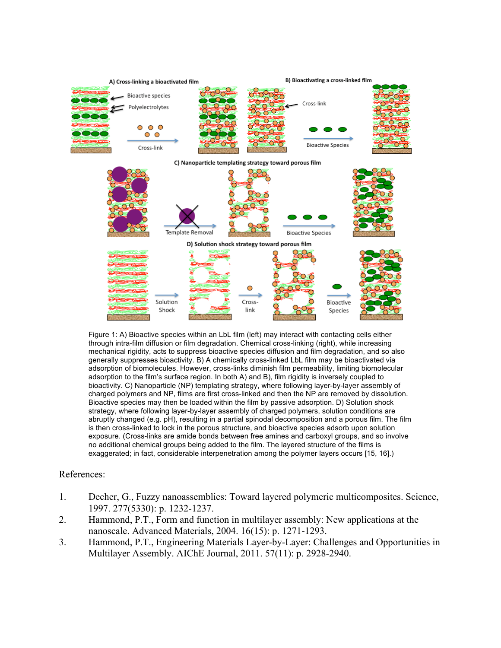

Figure 1: A) Bioactive species within an LbL film (left) may interact with contacting cells either through intra-film diffusion or film degradation. Chemical cross-linking (right), while increasing mechanical rigidity, acts to suppress bioactive species diffusion and film degradation, and so also generally suppresses bioactivity. B) A chemically cross-linked LbL film may be bioactivated via adsorption of biomolecules. However, cross-links diminish film permeability, limiting biomolecular adsorption to the film's surface region. In both A) and B), film rigidity is inversely coupled to bioactivity. C) Nanoparticle (NP) templating strategy, where following layer-by-layer assembly of charged polymers and NP, films are first cross-linked and then the NP are removed by dissolution. Bioactive species may then be loaded within the film by passive adsorption. D) Solution shock strategy, where following layer-by-layer assembly of charged polymers, solution conditions are abruptly changed (e.g. pH), resulting in a partial spinodal decomposition and a porous film. The film is then cross-linked to lock in the porous structure, and bioactive species adsorb upon solution exposure. (Cross-links are amide bonds between free amines and carboxyl groups, and so involve no additional chemical groups being added to the film. The layered structure of the films is exaggerated; in fact, considerable interpenetration among the polymer layers occurs [15, 16].)

## References:

- 1. Decher, G., Fuzzy nanoassemblies: Toward layered polymeric multicomposites. Science, 1997. 277(5330): p. 1232-1237.
- 2. Hammond, P.T., Form and function in multilayer assembly: New applications at the nanoscale. Advanced Materials, 2004. 16(15): p. 1271-1293.
- 3. Hammond, P.T., Engineering Materials Layer-by-Layer: Challenges and Opportunities in Multilayer Assembly. AIChE Journal, 2011. 57(11): p. 2928-2940.